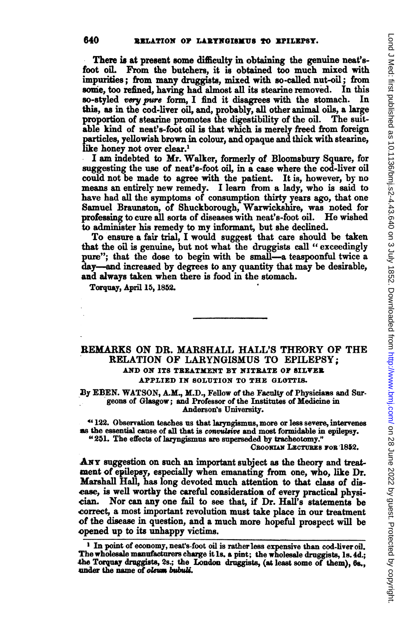There is at present some difficulty in obtaining the genuine neat'sfoot oiL From the butchers, it is obtained too much mixed with impurities; from many druggists, mixed with so-called nut-oil; from some, too refined, having had almost all its stearine removed. In this so-styled very pure form, I find it disagrees with the stomach. In this, as in the cod-liver oil, and, probably, all other animal oils, a large proportion of stearine promotes the digestibility of the oil. The suitable kind of neat's-foot oil is that which is merely freed from foreign particles, yellowish brown in colour, and opaque and thick with stearine, like honey not over clear.<sup>1</sup>

<sup>I</sup> am indebted to Mr. Walker, formerly of Bloomsbury Square, for suggesting the use of neat's-foot oil, in a case where the cod-liver oil could not be made to agree with the patient. It is, however, by no means an entirely new remedy. <sup>I</sup> learn from a lady, who is said to have had all the symptoms of consumption thirty years ago, that one Samuel Braunston, of Shuckborough, Warwickshire, was noted for professing to cure all sorts of diseases with neat's-foot oil. He wished to administer his remedy to my informant, but she declined.

To ensure a fair trial, <sup>I</sup> would suggest that care should be taken that the oil is genuine, but not what the druggists call " exceedingly pure"; that the dose to begin with be small—a teaspoonful twice a day-and increased by degrees to any quantity that may be desirable, and always taken when there is food in the stomach.

Torquay, April 15, 1852.

## REMARKS ON DR. MARSHALL HAL'S THEORY OF THE RELATION OF LARYNGISMUS TO EPILEPSY; AND ON ITS TREATMENT BY NITRATE OF SILVER APPLIED IN SOLUTION TO THE GLOTTIS.

## By EBEN. WATSON, A.M., M.D., Fellow of the Faculty of Physicians and Surgeons of Glasgow; and Professor of the Institutes of Medicine in Anderson's University.

"' 122. Observation teaches us that laryngismus, more or less severe, intervenes as the essential cause of all that is convulsive and most formidable in epilepsy. "251. The effects of laryngismus are superseded by tracheotomy."

CROONIAN LECTURES FOR 1852.

ANY suggestion on such an important subject as the theory and treatment of epilepsy, especially when emanating from one, who, like Dr. Marshall Hall, has long devoted much attention to that class of disease, is well worthy the careful consideration of every practical physician. Nor can any one fail to see that, if Dr. Hall's statements be Nor can any one fail to see that, if Dr. Hall's statements be eorrect, a most important revolution must take place in our treatment of the disease in question, and a much more hopeful prospect will be opened up to its unhappy victims.

<sup>I</sup> In point of economy, neat's-foot oil is rather less expensive than cod-liver oil. The wholesale manufacturers charge it 1s. a pint; the wholesale druggists, 1s. 4d.; the Torquay druggists, 2s.; the London druggists, (at least some of them), 6s., under the name of *oleum bubuli*.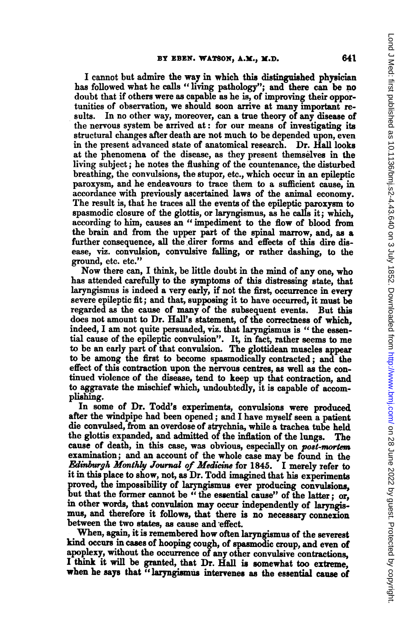I cannot but admire the way in which this distinguished physician has followed what he calls "living pathology"; and there can be no doubt that if others were as capable as he is, of improving their opportunities of observation, we should soon arrive at many important results. In no other way, moreover, can a true theory of any disease of In no other way, moreover, can a true theory of any disease of the nervous system be arrived at: for our means of investigating its structural changes after death are not much to be depended upon, even<br>in the present advanced state of anatomical research. Dr. Hall looks in the present advanced state of anatomical research. at the phenomena of the disease, as they present themselves in the living subject; he notes the flushing of the countenance, the disturbed breathing, the convulsions, the stupor, etc., which occur in an epileptic paroxysm, and he endeavours to trace them to a sufficient cause, in accordance with previously ascertained laws of the animal economy. The result is, that he traces all the events of the epileptic paroxysm to spasmodic closure of the glottis, or laryngismus, as he calls it; which, according to him, causes an " impediment to the flow of blood from the brain and from the upper part of the spinal marrow, and, as a further consequence, all the direr forms and effects of this dire disease, viz. convulsion, convulsive falling, or rather dashing, to the ground, etc. etc."

Now there can, <sup>I</sup> think, be little doubt in the mind of any one, who has attended carefully to the symptoms of this distressing state, that laryngismus is indeed a very early, if not the first, occurrence in every severe epileptic fit; and that, supposing it to have occurred, it must be regarded as the cause of many of the subsequent events. But this does not amount to Dr. Hall's statement, of the correctness of which, indeed, I am not quite persuaded, viz. that laryngismus is " the essential cause of the epileptic convulsion". It, in fact, rather seems to me to be an early part of that convulsion. The glottidean muscles appear to be among the first to become spasmodically contracted; and the effect of this contraction upon the nervous centres, as well as the continued violence of the disease, tend to keep up that contraction, and to aggravate the mischief which, undoubtedly, it is capable of accomplishing.

In some of Dr. Todd's experiments, convulsions were produced after the windpipe had been opened; and I have myself seen a patient die convulsed, from an overdose of strychnia, while a trachea tube held the glottis expanded, and admitted of the inflation of the lungs. The cause of death, in this case, was obvious, especially on *post-mortem* examination; and an account of the whole case may be found in the Edinburgh Monthly Journal of Medicine for 1845. I merely refer to Edinburgh Monthly Journal of Medicine for 1845. it in this place to show, not, as Dr. Todd imagined that his experiments proved, the impossibility of laryngismus ever producing convulsions, but that the former cannot be " the essential cause" of the latter; or, in other words, that convulsion may occur independently of laryngis. mus, and therefore it follows, that there is no necessary connexion between the two states, as cause and effect.

When, again, it is remembered how often laryngismus of the severest kind occurs in cases of hooping cough, of spasmodic croup, and even of apoplexy, without the occurrence of any other convulsive contractions, I think it will be granted, that Dr. Hall is somewhat too extreme, when he says that "laryngismus intervenes as the essential cause of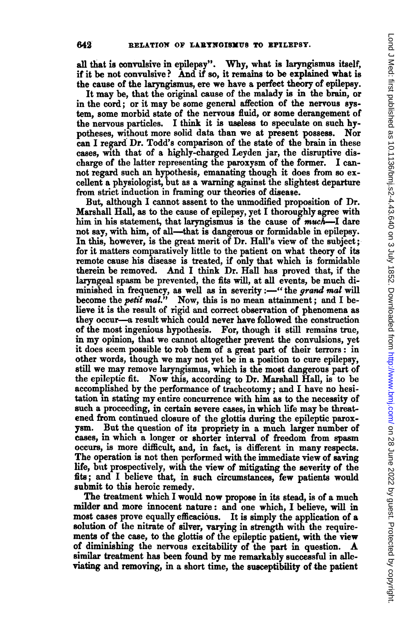all that is convulsive in epilepsy". Why, what is laryngismus itself, if it be not convulsive? And if so, it remains to be explained what is the cause of the laryngismus, ere we have a perfect theory of epilepsy.

It may be, that the original cause of the malady is in the brain, or in the cord; or it may be some general affection of the nervous system, some morbid state of the nervous fluid, or some derangement of the nervous particles. <sup>I</sup> think it is useless to speculate on such hypotheses, without more solid data than we at present possess. Nor can <sup>I</sup> regard Dr. Todd's comparison of the state of the brain in these cases, with that of a highly-charged Leyden jar, the disruptive discharge of the latter representing the paroxysm of the former. I cannot regard such an hypothesis, emanating though it does from so ex cellent a physiologist, but as a warming against the slightest departure from strict induction in framing our theories of disease.

But, although I cannot assent to the unmodified proposition of Dr. Marshall Hall, as to the cause of epilepsy, yet I thoroughly agree with him in his statement, that laryngismus is the cause of *much*—I dare not say, with him, of all—that is dangerous or formidable in epilepsy. In this, however, is the great merit of Dr. Hall's view of the subject; for it matters comparatively little to the patient on what theory of its remote cause his disease is treated, if only that which is formidable therein be removed. And <sup>I</sup> think Dr. Hall has proved that, if the laryngeal spasm be prevented, the fits will, at all events, be much di minished in frequency, as well as in severity  $:$ -" the grand mal will become the *petit mal.*" Now, this is no mean attainment; and I believe it is the result of rigid and correct observation of phenomena as they occur-a result which could never have followed the construction of the most ingenious hypothesis. For, though it still remains true, in my opinion, that we cannot altogether prevent the convulsions, yet it does seem possible to rob them of a great part of their terrors: in other words, though we may not yet be in a position to cure epilepsy, still we may remove laryngismus, which is the most dangerous part of the epileptic fit. Now this, according to Dr. Mashall Hall, is to be accomplished by the performance of tracheotomy; and I have no hesitation in stating my entire concurrence with him as to the necessity of such a proceeding, in certain severe cases, in which life may be threatened from continued closure of the glottis during the epileptic paroxysm. But the question of its propriety in a much larger number of cases, in which a longer or shorter interval of freedom from spasm occurs, is more difficult, and, in fact, is different in many respects. The operation is not then performed with the immediate view of saving life, buit prospectively, with the view of mitigating the severity of the fits; and <sup>I</sup> believe that, in such circumstances, few patients would submit to this heroic remedy.

The treatment which <sup>I</sup> would now propose in its stead, is of a much milder and more innocent nature: and one which, I believe, will in most cases prove equally efficacious. It is simply the application of a solution of the nitrate of silver, varying in strength with the requirements of the case, to the glottis of the epileptic patient, with the view of diminishing the nervous excitability of the part in question. A similar treatment has been found by me remarkably successful in alleviating and removing, in a short time, the susceptibility of the patient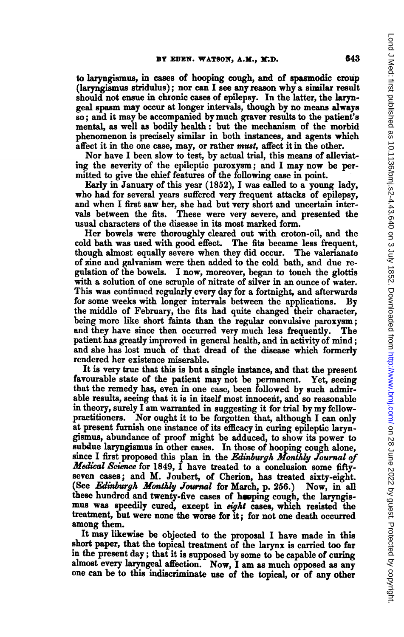to laryngismus, in cases of hooping cough, and of spasmodic croup (laryngismus stridulus); nor can I see any reason why a similar result should not ensue in chronic cases of epilepsy. In the latter, the laryngeal spasm may occur at longer intervals, though by no means always so; and it may be accompanied by much graver results to the patient's mental, as well as bodily health; but the mechanism of the morbid phenomenon is precisely similar in both instances, and agents which affect it in the one case, may, or rather *must*, affect it in the other.

Nor have <sup>I</sup> been slow to test, by actual trial, this means of alleviating the severity of the epileptic paroxysm; and <sup>I</sup> may now be permitted to give the chief features of the following case in point.

Early in January of this year (1852), I was called to a young lady, who had for several years suffered very frequent attacks of epilepsy, and when I first saw her, she had but very short and uncertain intervals between the fits. These were very severe, and presented the usual characters of the disease in its most marked form.

Her bowels were thoroughly cleared out with croton-oil, and the cold bath was used with good effect. The fits became less frequent, though almost equally severe when they did occur. The valerianate of zinc and galvanism were then added to the cold bath, and due regulation of the bowels. I now, moreover, began to touch the glottis with a solution of one scruple of nitrate of silver in an ounce of water. This was continued regularly every day for a fortnight, and afterwards for some weeks with longer intervals between the applications. By the middle of February, the fits had quite changed their character, being more like short faints than the regular convulsive paroxysm;<br>and they have since then occurred very much less frequently. The and they have since then occurred very much less frequently. patient has greatly improved in general health, and in activity of mind; and she has lost much of that dread of the disease which formerly rendered her existence miserable.

It is very true that this is but a single instance, and that the present favourable state of the patient may not be pernanent. Yet, seeing that the remedy has, even in one case, been followed by such admirable results, seeing that it is in itself most innocent, and so reasonable in theory, surely <sup>I</sup> am warranted in suggesting it for trial by my fellowpractitioners. Nor ought it to be forgotten that, although I can only at present furnish one instance of its efficacy in curing epileptic laryngismus, abundance of proof might be adduced, to show its power to subdue laryngismus in other cases. In those of hooping cough alone, since I first proposed this plan in the Edinburgh Monthly Journal of Medical Science for 1849, I have treated to a conclusion some fiftyseven cases; and M. Joubert, of Cherion, has treated sixty-eight. (See Edinburgh Monthly Journal for March, p. 256.) Now, in all these hundred and twenty-five cases of hosping cough, the laryngismus was speedily cured, except in eight cases, which resisted the treatment, but were none the worse for it; for not one death occurred among them.

It may likewise be objected to the proposal <sup>I</sup> have made in this short paper, that the topical treatment of the larynx is carried too far in the present day; that it is supposed by some to be capable of curing almost every laryngeal affection. Now, <sup>I</sup> am as much opposed as any one can be to this indiscriminate use of the topical, or of any other